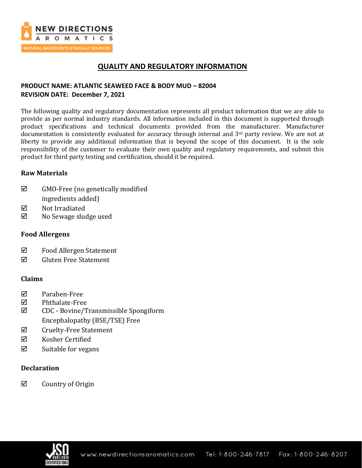

# **QUALITY AND REGULATORY INFORMATION**

## **PRODUCT NAME: ATLANTIC SEAWEED FACE & BODY MUD – 82004 REVISION DATE: December 7, 2021**

The following quality and regulatory documentation represents all product information that we are able to provide as per normal industry standards. All information included in this document is supported through product specifications and technical documents provided from the manufacturer. Manufacturer documentation is consistently evaluated for accuracy through internal and 3<sup>rd</sup> party review. We are not at liberty to provide any additional information that is beyond the scope of this document. It is the sole responsibility of the customer to evaluate their own quality and regulatory requirements, and submit this product for third party testing and certification, should it be required.

## **Raw Materials**

- $\boxtimes$  GMO-Free (no genetically modified ingredients added)
- **Ø** Not Irradiated
- $\boxtimes$  No Sewage sludge used

## **Food Allergens**

- Food Allergen Statement
- $\boxtimes$  Gluten Free Statement

### **Claims**

- Paraben-Free
- Phthalate-Free
- CDC Bovine/Transmissible Spongiform Encephalopathy (BSE/TSE) Free
- $\boxtimes$  Cruelty-Free Statement
- $\boxtimes$  Kosher Certified
- $\boxtimes$  Suitable for vegans

## **Declaration**

 $\boxtimes$  Country of Origin

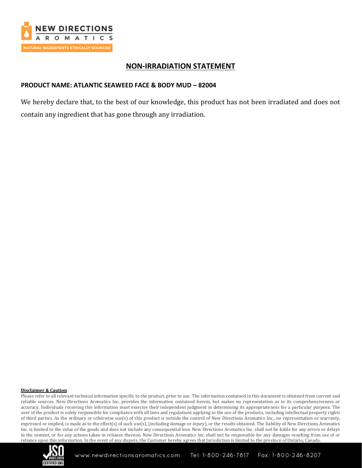

## **NON-IRRADIATION STATEMENT**

### **PRODUCT NAME: ATLANTIC SEAWEED FACE & BODY MUD – 82004**

We hereby declare that, to the best of our knowledge, this product has not been irradiated and does not contain any ingredient that has gone through any irradiation.

#### **Disclaimer & Caution**

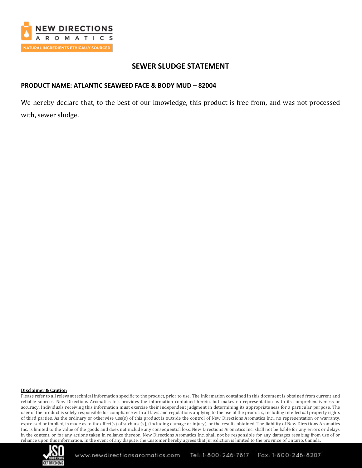

## **SEWER SLUDGE STATEMENT**

### **PRODUCT NAME: ATLANTIC SEAWEED FACE & BODY MUD – 82004**

We hereby declare that, to the best of our knowledge, this product is free from, and was not processed with, sewer sludge.

#### **Disclaimer & Caution**

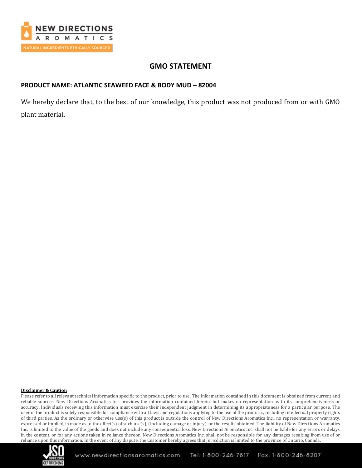

## **GMO STATEMENT**

### **PRODUCT NAME: ATLANTIC SEAWEED FACE & BODY MUD – 82004**

We hereby declare that, to the best of our knowledge, this product was not produced from or with GMO plant material.

#### **Disclaimer & Caution**

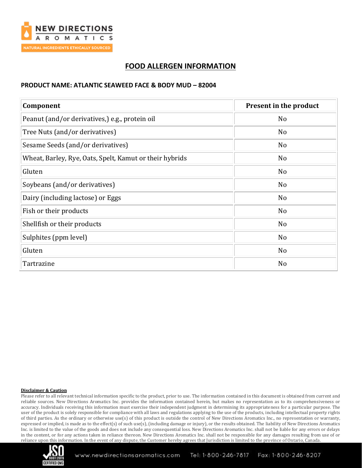

# **FOOD ALLERGEN INFORMATION**

### **PRODUCT NAME: ATLANTIC SEAWEED FACE & BODY MUD – 82004**

| Component                                               | Present in the product |
|---------------------------------------------------------|------------------------|
| Peanut (and/or derivatives,) e.g., protein oil          | N <sub>o</sub>         |
| Tree Nuts (and/or derivatives)                          | N <sub>o</sub>         |
| Sesame Seeds (and/or derivatives)                       | N <sub>o</sub>         |
| Wheat, Barley, Rye, Oats, Spelt, Kamut or their hybrids | N <sub>o</sub>         |
| Gluten                                                  | No                     |
| Soybeans (and/or derivatives)                           | No                     |
| Dairy (including lactose) or Eggs                       | N <sub>o</sub>         |
| Fish or their products                                  | N <sub>o</sub>         |
| Shellfish or their products                             | N <sub>o</sub>         |
| Sulphites (ppm level)                                   | No                     |
| Gluten                                                  | No                     |
| Tartrazine                                              | N <sub>o</sub>         |

#### **Disclaimer & Caution**

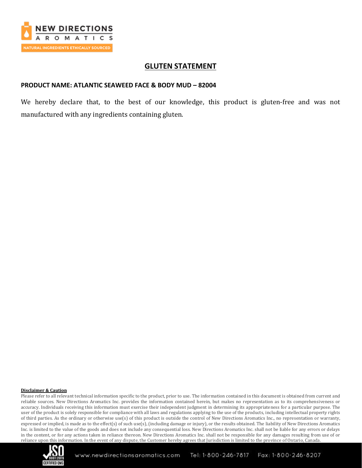

## **GLUTEN STATEMENT**

### **PRODUCT NAME: ATLANTIC SEAWEED FACE & BODY MUD – 82004**

We hereby declare that, to the best of our knowledge, this product is gluten-free and was not manufactured with any ingredients containing gluten.

#### **Disclaimer & Caution**

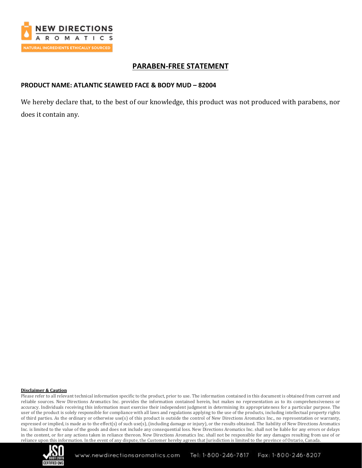

## **PARABEN-FREE STATEMENT**

### **PRODUCT NAME: ATLANTIC SEAWEED FACE & BODY MUD – 82004**

We hereby declare that, to the best of our knowledge, this product was not produced with parabens, nor does it contain any.

#### **Disclaimer & Caution**

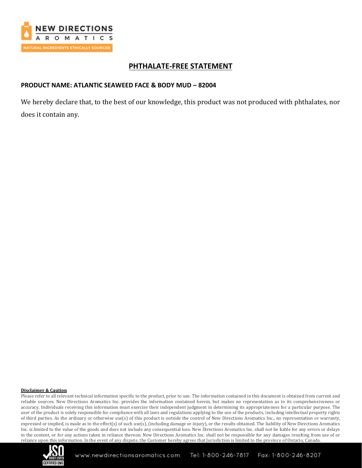

## **PHTHALATE-FREE STATEMENT**

### **PRODUCT NAME: ATLANTIC SEAWEED FACE & BODY MUD – 82004**

We hereby declare that, to the best of our knowledge, this product was not produced with phthalates, nor does it contain any.

#### **Disclaimer & Caution**

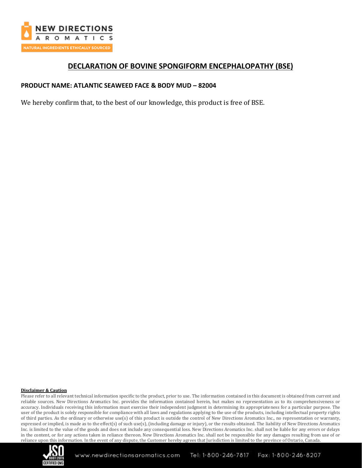

## **DECLARATION OF BOVINE SPONGIFORM ENCEPHALOPATHY (BSE)**

### **PRODUCT NAME: ATLANTIC SEAWEED FACE & BODY MUD – 82004**

We hereby confirm that, to the best of our knowledge, this product is free of BSE.

#### **Disclaimer & Caution**

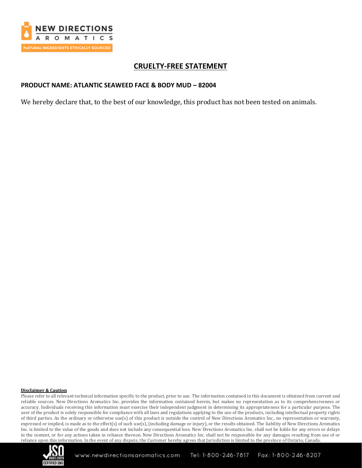

## **CRUELTY-FREE STATEMENT**

### **PRODUCT NAME: ATLANTIC SEAWEED FACE & BODY MUD – 82004**

We hereby declare that, to the best of our knowledge, this product has not been tested on animals.

#### **Disclaimer & Caution**

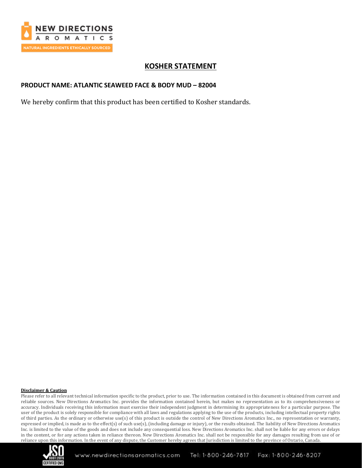

# **KOSHER STATEMENT**

### **PRODUCT NAME: ATLANTIC SEAWEED FACE & BODY MUD – 82004**

We hereby confirm that this product has been certified to Kosher standards.

#### **Disclaimer & Caution**

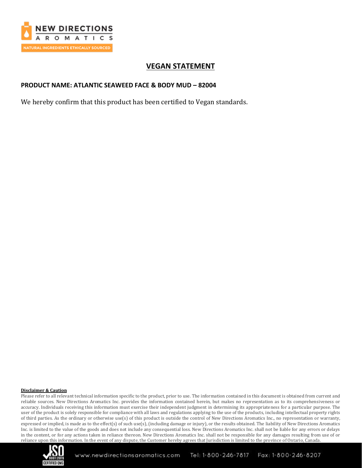

# **VEGAN STATEMENT**

### **PRODUCT NAME: ATLANTIC SEAWEED FACE & BODY MUD – 82004**

We hereby confirm that this product has been certified to Vegan standards.

#### **Disclaimer & Caution**